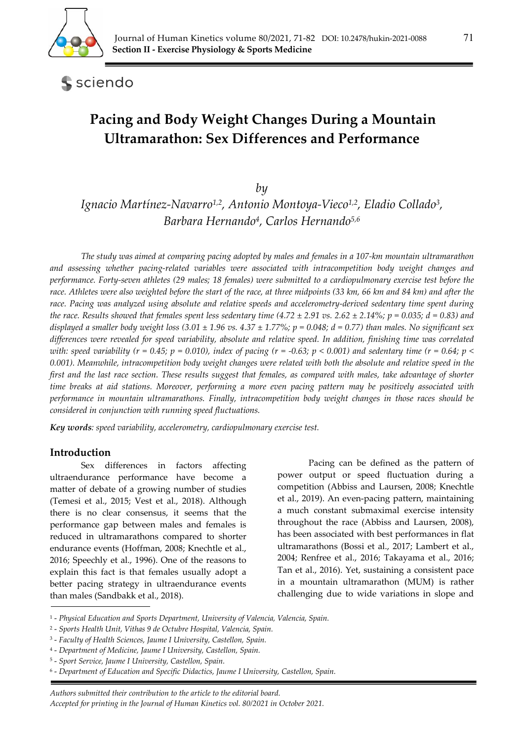

sciendo

# **Pacing and Body Weight Changes During a Mountain Ultramarathon: Sex Differences and Performance**

*by* 

*Ignacio Martínez-Navarro1,2, Antonio Montoya-Vieco1,2, Eladio Collado3, Barbara Hernando4, Carlos Hernando5,6*

*The study was aimed at comparing pacing adopted by males and females in a 107-km mountain ultramarathon and assessing whether pacing-related variables were associated with intracompetition body weight changes and performance. Forty-seven athletes (29 males; 18 females) were submitted to a cardiopulmonary exercise test before the race. Athletes were also weighted before the start of the race, at three midpoints (33 km, 66 km and 84 km) and after the race. Pacing was analyzed using absolute and relative speeds and accelerometry-derived sedentary time spent during the race. Results showed that females spent less sedentary time (4.72*  $\pm$  *2.91 vs. 2.62*  $\pm$  *2.14%; p = 0.035; d = 0.83) and displayed a smaller body weight loss*  $(3.01 \pm 1.96 \text{ vs. } 4.37 \pm 1.77\%; p = 0.048; d = 0.77)$  than males. No significant sex *differences were revealed for speed variability, absolute and relative speed. In addition, finishing time was correlated with: speed variability (r = 0.45; p = 0.010), index of pacing (r = -0.63; p < 0.001) and sedentary time (r = 0.64; p < 0.001). Meanwhile, intracompetition body weight changes were related with both the absolute and relative speed in the*  first and the last race section. These results suggest that females, as compared with males, take advantage of shorter *time breaks at aid stations. Moreover, performing a more even pacing pattern may be positively associated with performance in mountain ultramarathons. Finally, intracompetition body weight changes in those races should be considered in conjunction with running speed fluctuations.* 

*Key words: speed variability, accelerometry, cardiopulmonary exercise test.* 

### **Introduction**

Sex differences in factors affecting ultraendurance performance have become a matter of debate of a growing number of studies (Temesi et al., 2015; Vest et al., 2018). Although there is no clear consensus, it seems that the performance gap between males and females is reduced in ultramarathons compared to shorter endurance events (Hoffman, 2008; Knechtle et al., 2016; Speechly et al., 1996). One of the reasons to explain this fact is that females usually adopt a better pacing strategy in ultraendurance events than males (Sandbakk et al., 2018).

Pacing can be defined as the pattern of power output or speed fluctuation during a competition (Abbiss and Laursen, 2008; Knechtle et al., 2019). An even-pacing pattern, maintaining a much constant submaximal exercise intensity throughout the race (Abbiss and Laursen, 2008), has been associated with best performances in flat ultramarathons (Bossi et al., 2017; Lambert et al., 2004; Renfree et al., 2016; Takayama et al., 2016; Tan et al., 2016). Yet, sustaining a consistent pace in a mountain ultramarathon (MUM) is rather challenging due to wide variations in slope and

<sup>1 -</sup> *Physical Education and Sports Department, University of Valencia, Valencia, Spain.* 

<sup>2 -</sup> *Sports Health Unit, Vithas 9 de Octubre Hospital, Valencia, Spain.* 

<sup>3 -</sup> *Faculty of Health Sciences, Jaume I University, Castellon, Spain.* 

<sup>4 -</sup> *Department of Medicine, Jaume I University, Castellon, Spain.* 

<sup>5 -</sup> *Sport Service, Jaume I University, Castellon, Spain.* 

<sup>6 -</sup> *Department of Education and Specific Didactics, Jaume I University, Castellon, Spain.*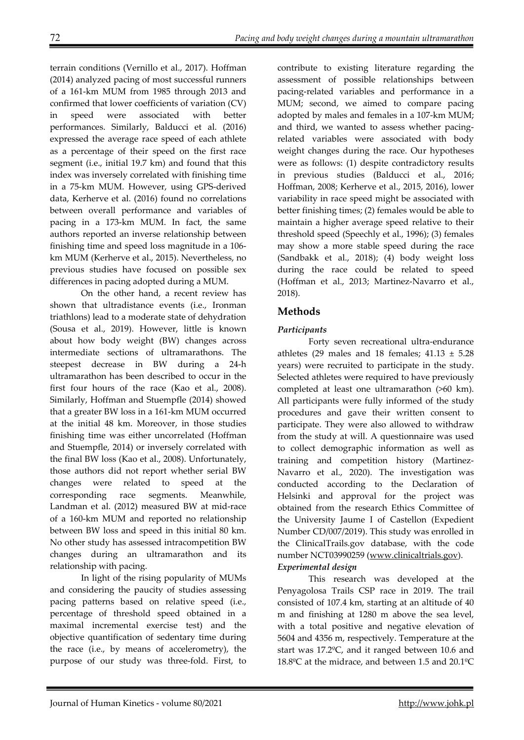terrain conditions (Vernillo et al., 2017). Hoffman (2014) analyzed pacing of most successful runners of a 161-km MUM from 1985 through 2013 and confirmed that lower coefficients of variation (CV) speed were associated with better performances. Similarly, Balducci et al. (2016) expressed the average race speed of each athlete as a percentage of their speed on the first race segment (i.e., initial 19.7 km) and found that this index was inversely correlated with finishing time in a 75-km MUM. However, using GPS-derived data, Kerherve et al. (2016) found no correlations between overall performance and variables of pacing in a 173-km MUM. In fact, the same authors reported an inverse relationship between finishing time and speed loss magnitude in a 106 km MUM (Kerherve et al., 2015). Nevertheless, no previous studies have focused on possible sex differences in pacing adopted during a MUM.

On the other hand, a recent review has shown that ultradistance events (i.e., Ironman triathlons) lead to a moderate state of dehydration (Sousa et al., 2019). However, little is known about how body weight (BW) changes across intermediate sections of ultramarathons. The steepest decrease in BW during a 24-h ultramarathon has been described to occur in the first four hours of the race (Kao et al., 2008). Similarly, Hoffman and Stuempfle (2014) showed that a greater BW loss in a 161-km MUM occurred at the initial 48 km. Moreover, in those studies finishing time was either uncorrelated (Hoffman and Stuempfle, 2014) or inversely correlated with the final BW loss (Kao et al., 2008). Unfortunately, those authors did not report whether serial BW changes were related to speed at the corresponding race segments. Meanwhile, Landman et al. (2012) measured BW at mid-race of a 160-km MUM and reported no relationship between BW loss and speed in this initial 80 km. No other study has assessed intracompetition BW changes during an ultramarathon and its relationship with pacing.

In light of the rising popularity of MUMs and considering the paucity of studies assessing pacing patterns based on relative speed (i.e., percentage of threshold speed obtained in a maximal incremental exercise test) and the objective quantification of sedentary time during the race (i.e., by means of accelerometry), the purpose of our study was three-fold. First, to

contribute to existing literature regarding the assessment of possible relationships between pacing-related variables and performance in a MUM; second, we aimed to compare pacing adopted by males and females in a 107-km MUM; and third, we wanted to assess whether pacingrelated variables were associated with body weight changes during the race. Our hypotheses were as follows: (1) despite contradictory results in previous studies (Balducci et al., 2016; Hoffman, 2008; Kerherve et al., 2015, 2016), lower variability in race speed might be associated with better finishing times; (2) females would be able to maintain a higher average speed relative to their threshold speed (Speechly et al., 1996); (3) females may show a more stable speed during the race (Sandbakk et al., 2018); (4) body weight loss during the race could be related to speed (Hoffman et al., 2013; Martinez-Navarro et al., 2018).

# **Methods**

# *Participants*

Forty seven recreational ultra-endurance athletes (29 males and 18 females;  $41.13 \pm 5.28$ years) were recruited to participate in the study. Selected athletes were required to have previously completed at least one ultramarathon (>60 km). All participants were fully informed of the study procedures and gave their written consent to participate. They were also allowed to withdraw from the study at will. A questionnaire was used to collect demographic information as well as training and competition history (Martinez-Navarro et al., 2020). The investigation was conducted according to the Declaration of Helsinki and approval for the project was obtained from the research Ethics Committee of the University Jaume I of Castellon (Expedient Number CD/007/2019). This study was enrolled in the ClinicalTrails.gov database, with the code number NCT03990259 (www.clinicaltrials.gov). *Experimental design* 

This research was developed at the Penyagolosa Trails CSP race in 2019. The trail consisted of 107.4 km, starting at an altitude of 40 m and finishing at 1280 m above the sea level, with a total positive and negative elevation of 5604 and 4356 m, respectively. Temperature at the start was 17.2ºC, and it ranged between 10.6 and 18.8ºC at the midrace, and between 1.5 and 20.1ºC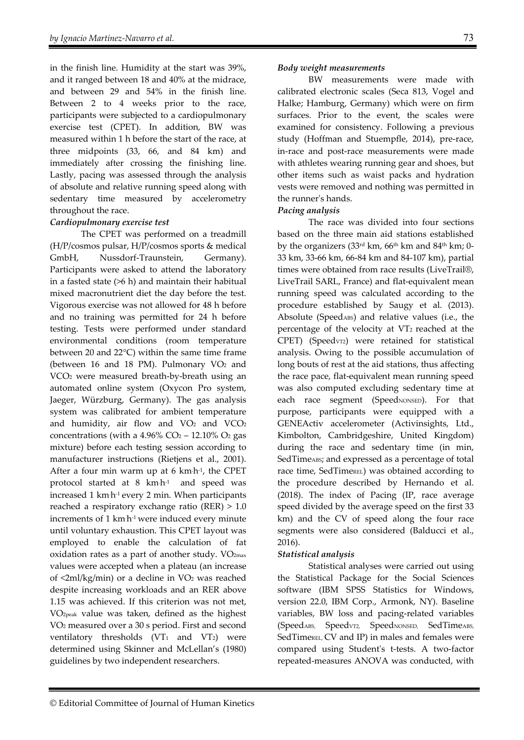in the finish line. Humidity at the start was 39%, and it ranged between 18 and 40% at the midrace, and between 29 and 54% in the finish line. Between 2 to 4 weeks prior to the race, participants were subjected to a cardiopulmonary exercise test (CPET). In addition, BW was measured within 1 h before the start of the race, at three midpoints (33, 66, and 84 km) and immediately after crossing the finishing line. Lastly, pacing was assessed through the analysis of absolute and relative running speed along with sedentary time measured by accelerometry throughout the race.

### *Cardiopulmonary exercise test*

The CPET was performed on a treadmill (H/P/cosmos pulsar, H/P/cosmos sports & medical GmbH, Nussdorf-Traunstein, Germany). Participants were asked to attend the laboratory in a fasted state (>6 h) and maintain their habitual mixed macronutrient diet the day before the test. Vigorous exercise was not allowed for 48 h before and no training was permitted for 24 h before testing. Tests were performed under standard environmental conditions (room temperature between 20 and 22°C) within the same time frame (between 16 and 18 PM). Pulmonary  $VO<sub>2</sub>$  and VCO2 were measured breath-by-breath using an automated online system (Oxycon Pro system, Jaeger, Würzburg, Germany). The gas analysis system was calibrated for ambient temperature and humidity, air flow and  $VO<sub>2</sub>$  and  $VCO<sub>2</sub>$ concentrations (with a  $4.96\%$  CO<sub>2</sub> – 12.10% O<sub>2</sub> gas mixture) before each testing session according to manufacturer instructions (Rietjens et al., 2001). After a four min warm up at 6 km·h<sup>-1</sup>, the CPET protocol started at 8 km. and speed was increased 1 km. h-1 every 2 min. When participants reached a respiratory exchange ratio (RER) > 1.0 increments of 1 km. h-1 were induced every minute until voluntary exhaustion. This CPET layout was employed to enable the calculation of fat oxidation rates as a part of another study.  $VO<sub>2max</sub>$ values were accepted when a plateau (an increase of <2ml/kg/min) or a decline in VO2 was reached despite increasing workloads and an RER above 1.15 was achieved. If this criterion was not met, VO2peak value was taken, defined as the highest VO2 measured over a 30 s period. First and second ventilatory thresholds  $(VT_1$  and  $VT_2$ ) were determined using Skinner and McLellan's (1980) guidelines by two independent researchers.

#### *Body weight measurements*

BW measurements were made with calibrated electronic scales (Seca 813, Vogel and Halke; Hamburg, Germany) which were on firm surfaces. Prior to the event, the scales were examined for consistency. Following a previous study (Hoffman and Stuempfle, 2014), pre-race, in-race and post-race measurements were made with athletes wearing running gear and shoes, but other items such as waist packs and hydration vests were removed and nothing was permitted in the runner's hands.

## *Pacing analysis*

The race was divided into four sections based on the three main aid stations established by the organizers  $(33<sup>rd</sup> km, 66<sup>th</sup> km and 84<sup>th</sup> km; 0-$ 33 km, 33-66 km, 66-84 km and 84-107 km), partial times were obtained from race results (LiveTrail®, LiveTrail SARL, France) and flat-equivalent mean running speed was calculated according to the procedure established by Saugy et al. (2013). Absolute (SpeedABS) and relative values (i.e., the percentage of the velocity at  $VT_2$  reached at the CPET) (Speedv<sub>T2</sub>) were retained for statistical analysis. Owing to the possible accumulation of long bouts of rest at the aid stations, thus affecting the race pace, flat-equivalent mean running speed was also computed excluding sedentary time at each race segment (SpeedNONSED). For that purpose, participants were equipped with a GENEActiv accelerometer (Activinsights, Ltd., Kimbolton, Cambridgeshire, United Kingdom) during the race and sedentary time (in min, SedTimeABS; and expressed as a percentage of total race time, SedTimeREL) was obtained according to the procedure described by Hernando et al. (2018). The index of Pacing (IP, race average speed divided by the average speed on the first 33 km) and the CV of speed along the four race segments were also considered (Balducci et al., 2016).

# *Statistical analysis*

Statistical analyses were carried out using the Statistical Package for the Social Sciences software (IBM SPSS Statistics for Windows, version 22.0, IBM Corp., Armonk, NY). Baseline variables, BW loss and pacing-related variables (SpeedABS, SpeedvT2, SpeedNONSED, SedTimeABS, SedTimeREL, CV and IP) in males and females were compared using Student's t-tests. A two-factor repeated-measures ANOVA was conducted, with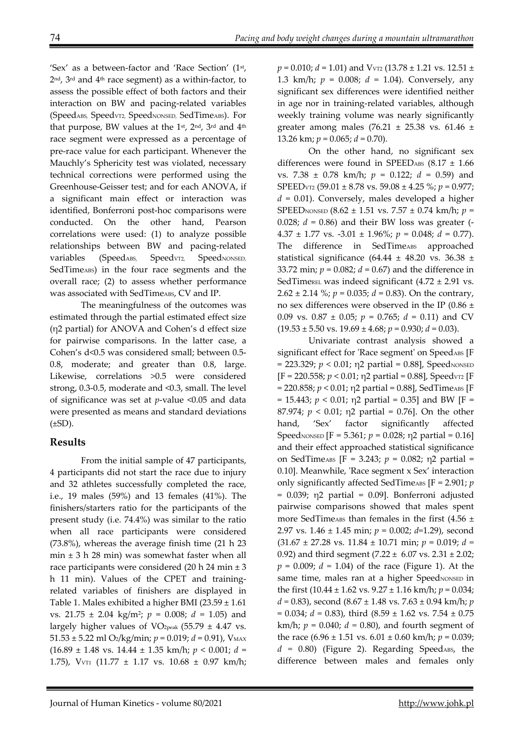'Sex' as a between-factor and 'Race Section' (1st, 2nd, 3rd and 4th race segment) as a within-factor, to assess the possible effect of both factors and their interaction on BW and pacing-related variables (SpeedABS, SpeedVT2, SpeedNONSED, SedTimeABS). For that purpose, BW values at the 1<sup>st</sup>, 2<sup>nd</sup>, 3<sup>rd</sup> and 4<sup>th</sup> race segment were expressed as a percentage of pre-race value for each participant. Whenever the Mauchly's Sphericity test was violated, necessary technical corrections were performed using the Greenhouse-Geisser test; and for each ANOVA, if a significant main effect or interaction was identified, Bonferroni post-hoc comparisons were conducted. On the other hand, Pearson correlations were used: (1) to analyze possible relationships between BW and pacing-related variables (SpeedABS, SpeedVT2, SpeedNONSED, SedTimeABS) in the four race segments and the overall race; (2) to assess whether performance was associated with SedTimeABS, CV and IP.

The meaningfulness of the outcomes was estimated through the partial estimated effect size (η2 partial) for ANOVA and Cohen's d effect size for pairwise comparisons. In the latter case, a Cohen's d<0.5 was considered small; between 0.5- 0.8, moderate; and greater than 0.8, large. Likewise, correlations >0.5 were considered strong, 0.3-0.5, moderate and <0.3, small. The level of significance was set at *p*-value <0.05 and data were presented as means and standard deviations  $(\pm SD)$ .

# **Results**

From the initial sample of 47 participants, 4 participants did not start the race due to injury and 32 athletes successfully completed the race, i.e., 19 males (59%) and 13 females (41%). The finishers/starters ratio for the participants of the present study (i.e. 74.4%) was similar to the ratio when all race participants were considered (73.8%), whereas the average finish time (21 h 23 min  $\pm$  3 h 28 min) was somewhat faster when all race participants were considered (20 h 24 min ± 3 h 11 min). Values of the CPET and trainingrelated variables of finishers are displayed in Table 1. Males exhibited a higher BMI (23.59 ± 1.61 vs. 21.75 ± 2.04 kg/m2; *p* = 0.008; *d* = 1.05) and largely higher values of VO<sub>2peak</sub> (55.79  $\pm$  4.47 vs. 51.53 ± 5.22 ml O<sub>2</sub>/kg/min;  $p = 0.019$ ;  $d = 0.91$ ), V<sub>MAX</sub> (16.89 ± 1.48 vs. 14.44 ± 1.35 km/h; *p* < 0.001; *d* = 1.75), VVT1 (11.77 ± 1.17 vs. 10.68 ± 0.97 km/h;

*p* = 0.010; *d* = 1.01) and VVT2 (13.78 ± 1.21 vs. 12.51 ± 1.3 km/h; *p* = 0.008; *d* = 1.04). Conversely, any significant sex differences were identified neither in age nor in training-related variables, although weekly training volume was nearly significantly greater among males (76.21  $\pm$  25.38 vs. 61.46  $\pm$ 13.26 km; *p* = 0.065; *d* = 0.70).

On the other hand, no significant sex differences were found in SPEEDABS  $(8.17 \pm 1.66$ vs. 7.38 ± 0.78 km/h; *p* = 0.122; *d* = 0.59) and SPEEDVT2 (59.01 ± 8.78 vs. 59.08 ± 4.25 %; *p* = 0.977; *d* = 0.01). Conversely, males developed a higher SPEEDNONSED (8.62 ± 1.51 vs. 7.57 ± 0.74 km/h; *p* = 0.028;  $d = 0.86$ ) and their BW loss was greater (-4.37  $\pm$  1.77 vs. -3.01  $\pm$  1.96%;  $p = 0.048$ ;  $d = 0.77$ ). The difference in SedTime<sub>ABS</sub> approached statistical significance (64.44  $\pm$  48.20 vs. 36.38  $\pm$ 33.72 min; *p* = 0.082; *d* = 0.67) and the difference in SedTimeREL was indeed significant  $(4.72 \pm 2.91 \text{ vs.})$ 2.62  $\pm$  2.14 %;  $p = 0.035$ ;  $d = 0.83$ ). On the contrary, no sex differences were observed in the IP (0.86  $\pm$ 0.09 vs.  $0.87 \pm 0.05$ ;  $p = 0.765$ ;  $d = 0.11$ ) and CV  $(19.53 \pm 5.50 \text{ vs. } 19.69 \pm 4.68; p = 0.930; d = 0.03).$ 

Univariate contrast analysis showed a significant effect for 'Race segment' on SpeedABS [F]  $= 223.329$ ;  $p < 0.01$ ;  $p2$  partial  $= 0.88$ ], Speed<sub>NONSED</sub>  $[F = 220.558; p < 0.01; \eta$ 2 partial = 0.88], Speedvr2 [F]  $= 220.858; p < 0.01; \eta$ 2 partial = 0.88], SedTimeABS [F  $= 15.443$ ;  $p < 0.01$ ;  $p2$  partial  $= 0.35$ ] and BW [F = 87.974;  $p < 0.01$ ;  $p2$  partial = 0.76]. On the other hand, 'Sex' factor significantly affected Speed<sub>NONSED</sub>  $[F = 5.361; p = 0.028; \eta^2$  partial = 0.16] and their effect approached statistical significance on SedTime<sub>ABS</sub>  $[F = 3.243; p = 0.082; \eta^2$  partial = 0.10]. Meanwhile, 'Race segment x Sex' interaction only significantly affected SedTime<sub>ABS</sub>  $[F = 2.901; p$  $= 0.039$ ;  $\eta$ 2 partial  $= 0.09$ ]. Bonferroni adjusted pairwise comparisons showed that males spent more SedTimeABS than females in the first  $(4.56 \pm$ 2.97 vs. 1.46 ± 1.45 min; *p* = 0.002; *d=*1.29), second (31.67 ± 27.28 vs. 11.84 ± 10.71 min; *p* = 0.019; *d =*  0.92) and third segment  $(7.22 \pm 6.07 \text{ vs. } 2.31 \pm 2.02)$ ;  $p = 0.009$ ;  $d = 1.04$ ) of the race (Figure 1). At the same time, males ran at a higher SpeedNONSED in the first (10.44 ± 1.62 vs. 9.27 ± 1.16 km/h; *p* = 0.034; *d =* 0.83), second (8.67 ± 1.48 vs. 7.63 ± 0.94 km/h; *p* = 0.034; *d =* 0.83), third (8.59 ± 1.62 vs. 7.54 ± 0.75 km/h;  $p = 0.040$ ;  $d = 0.80$ ), and fourth segment of the race  $(6.96 \pm 1.51 \text{ vs. } 6.01 \pm 0.60 \text{ km/h}; p = 0.039;$  $d = 0.80$ ) (Figure 2). Regarding SpeedABS, the difference between males and females only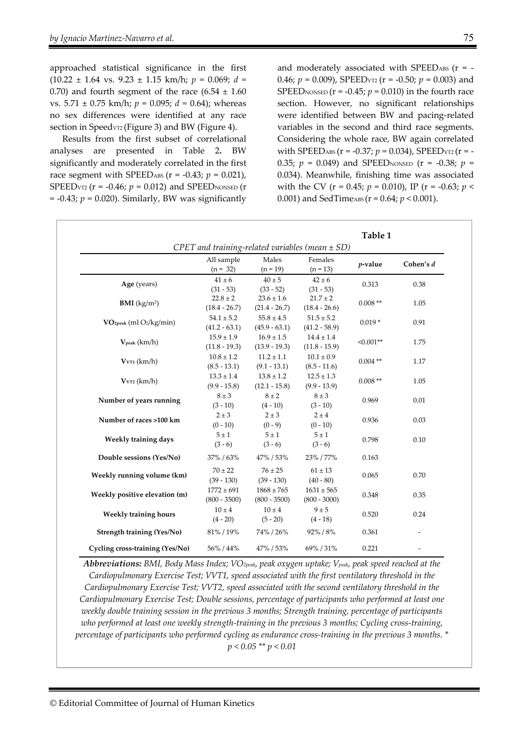approached statistical significance in the first (10.22 ± 1.64 vs. 9.23 ± 1.15 km/h; *p* = 0.069; *d =*  0.70) and fourth segment of the race  $(6.54 \pm 1.60)$ vs. 5.71 ± 0.75 km/h; *p* = 0.095; *d =* 0.64); whereas no sex differences were identified at any race section in Speedv $\tau$ <sub>2</sub> (Figure 3) and BW (Figure 4).

Results from the first subset of correlational analyses are presented in Table 2**.** BW significantly and moderately correlated in the first race segment with SPEED<sub>ABS</sub>  $(r = -0.43; p = 0.021)$ , SPEED<sub>VT2</sub> ( $r = -0.46$ ;  $p = 0.012$ ) and SPEED<sub>NONSED</sub> ( $r =$  $= -0.43$ ;  $p = 0.020$ ). Similarly, BW was significantly

and moderately associated with SPEED<sub>ABS</sub>  $(r = -$ 0.46; *p* = 0.009), SPEEDVT2 (r = -0.50; *p* = 0.003) and SPEED<sub>NONSED</sub>  $(r = -0.45; p = 0.010)$  in the fourth race section. However, no significant relationships were identified between BW and pacing-related variables in the second and third race segments. Considering the whole race, BW again correlated with SPEED<sub>ABS</sub>  $(r = -0.37; p = 0.034)$ , SPEED<sub>VT2</sub>  $(r = -0.37; p = 0.034)$ 0.35;  $p = 0.049$ ) and SPEED<sub>NONSED</sub> ( $r = -0.38$ ;  $p =$ 0.034). Meanwhile, finishing time was associated with the CV (r = 0.45; *p* = 0.010), IP (r = -0.63; *p* < 0.001) and SedTime<sub>ABS</sub> ( $r = 0.64$ ;  $p < 0.001$ ).

| Table 1<br>CPET and training-related variables (mean $\pm$ SD) |                                   |                                   |                                   |             |           |
|----------------------------------------------------------------|-----------------------------------|-----------------------------------|-----------------------------------|-------------|-----------|
|                                                                | All sample<br>$(n = 32)$          | Males<br>$(n = 19)$               | Females<br>$(n = 13)$             | $p$ -value  | Cohen's d |
| Age (years)                                                    | $41 \pm 6$<br>$(31 - 53)$         | $40 \pm 5$<br>$(33 - 52)$         | $42 \pm 6$<br>$(31 - 53)$         | 0.313       | 0.38      |
| <b>BMI</b> ( $\text{kg/m}^2$ )                                 | $22.8 \pm 2$<br>$(18.4 - 26.7)$   | $23.6 \pm 1.6$<br>$(21.4 - 26.7)$ | $21.7\pm2$<br>$(18.4 - 26.6)$     | $0.008**$   | 1.05      |
| VO <sub>2peak</sub> (ml O <sub>2</sub> /kg/min)                | $54.1\pm5.2$<br>$(41.2 - 63.1)$   | $55.8 \pm 4.5$<br>$(45.9 - 63.1)$ | $51.5 \pm 5.2$<br>$(41.2 - 58.9)$ | $0.019*$    | 0.91      |
| $V_{\rm peak}$ (km/h)                                          | $15.9 \pm 1.9$<br>$(11.8 - 19.3)$ | $16.9 \pm 1.5$<br>$(13.9 - 19.3)$ | $14.4 \pm 1.4$<br>$(11.8 - 15.9)$ | $< 0.001**$ | 1.75      |
| $VvT1$ (km/h)                                                  | $10.8 \pm 1.2$<br>$(8.5 - 13.1)$  | $11.2 \pm 1.1$<br>$(9.1 - 13.1)$  | $10.1 \pm 0.9$<br>$(8.5 - 11.6)$  | $0.004$ **  | 1.17      |
| $VvT2$ (km/h)                                                  | $13.3 \pm 1.4$<br>$(9.9 - 15.8)$  | $13.8 \pm 1.2$<br>$(12.1 - 15.8)$ | $12.5 \pm 1.3$<br>$(9.9 - 13.9)$  | $0.008**$   | 1.05      |
| Number of years running                                        | $8 \pm 3$<br>$(3 - 10)$           | $8 \pm 2$<br>$(4 - 10)$           | $8 \pm 3$<br>$(3 - 10)$           | 0.969       | 0.01      |
| Number of races >100 km                                        | $2 \pm 3$<br>$(0 - 10)$           | $2 \pm 3$<br>$(0 - 9)$            | $2 \pm 4$<br>$(0 - 10)$           | 0.936       | 0.03      |
| Weekly training days                                           | $5 \pm 1$<br>$(3 - 6)$            | $5 \pm 1$<br>$(3 - 6)$            | $5 \pm 1$<br>$(3 - 6)$            | 0.798       | 0.10      |
| Double sessions (Yes/No)                                       | 37% / 63%                         | 47% / 53%                         | 23% / 77%                         | 0.163       |           |
| Weekly running volume (km)                                     | $70 \pm 22$<br>$(39 - 130)$       | $76 \pm 25$<br>$(39 - 130)$       | $61 \pm 13$<br>$(40 - 80)$        | 0.065       | 0.70      |
| Weekly positive elevation (m)                                  | $1772 \pm 691$<br>$(800 - 3500)$  | $1868 \pm 765$<br>$(800 - 3500)$  | $1631 \pm 565$<br>$(800 - 3000)$  | 0.348       | 0.35      |
| <b>Weekly training hours</b>                                   | $10 \pm 4$<br>$(4 - 20)$          | $10 \pm 4$<br>$(5 - 20)$          | $9 \pm 5$<br>$(4 - 18)$           | 0.520       | 0.24      |
| <b>Strength training (Yes/No)</b>                              | 81%/19%                           | 74% / 26%                         | 92% / 8%                          | 0.361       |           |
| Cycling cross-training (Yes/No)                                | 56% / 44%                         | 47% / 53%                         | 69% / 31%                         | 0.221       |           |

*Abbreviations: BMI, Body Mass Index; VO2peak, peak oxygen uptake; Vpeak, peak speed reached at the Cardiopulmonary Exercise Test; VVT1, speed associated with the first ventilatory threshold in the Cardiopulmonary Exercise Test; VVT2, speed associated with the second ventilatory threshold in the Cardiopulmonary Exercise Test; Double sessions, percentage of participants who performed at least one weekly double training session in the previous 3 months; Strength training, percentage of participants who performed at least one weekly strength-training in the previous 3 months; Cycling cross-training, percentage of participants who performed cycling as endurance cross-training in the previous 3 months. \* p < 0.05 \*\* p < 0.01*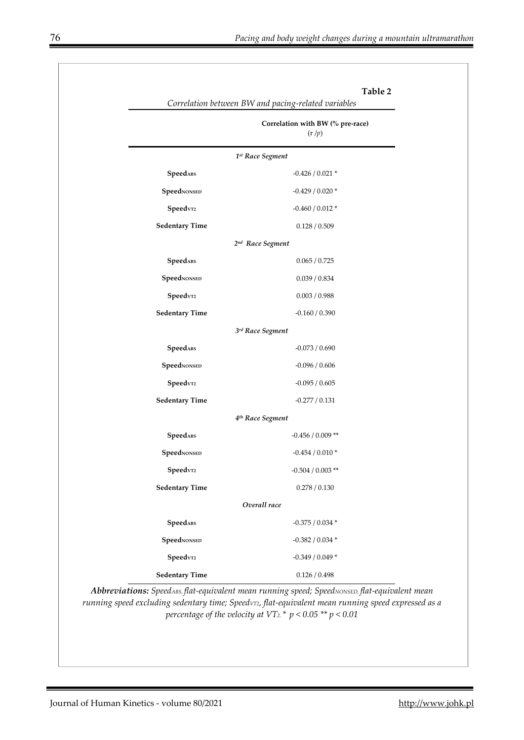|                                 | Table 2<br>Correlation between BW and pacing-related variables |
|---------------------------------|----------------------------------------------------------------|
|                                 | Correlation with BW (% pre-race)<br>(r/p)                      |
|                                 | 1st Race Segment                                               |
| SpeedABS                        | $-0.426 / 0.021$ *                                             |
| SpeedNONSED                     | $-0.429/0.020*$                                                |
| ${\bf Speed {\scriptstyle v}r}$ | $-0.460 / 0.012$ *                                             |
| <b>Sedentary Time</b>           | 0.128 / 0.509                                                  |
|                                 | 2nd Race Segment                                               |
| SpeedABS                        | 0.065 / 0.725                                                  |
| SpeedNONSED                     | 0.039 / 0.834                                                  |
| ${\bf Speed {\scriptstyle v}r}$ | 0.003 / 0.988                                                  |
| <b>Sedentary Time</b>           | $-0.160 / 0.390$                                               |
|                                 | 3rd Race Segment                                               |
| SpeedABS                        | $-0.073 / 0.690$                                               |
| SpeedNONSED                     | $-0.096 / 0.606$                                               |
| ${\bf Speed {\scriptstyle v}r}$ | $-0.095 / 0.605$                                               |
| <b>Sedentary Time</b>           | $-0.277/0.131$                                                 |
|                                 | 4 <sup>th</sup> Race Segment                                   |
| SpeedABS                        | $-0.456 / 0.009$ **                                            |
| SpeedNONSED                     | $-0.454 / 0.010*$                                              |
| ${\bf Speedv}$                  | -0.504 / 0.003 **                                              |
| <b>Sedentary Time</b>           | $0.278\ /\ 0.130$                                              |
|                                 | Overall race                                                   |
| SpeedABS                        | -0.375 / 0.034 $^{\ast}$                                       |
| SpeedNONSED                     | -0.382 / 0.034 $^{\ast}$                                       |
| Speedv                          | -0.349 / 0.049 $*$                                             |
| <b>Sedentary Time</b>           | $0.126\,/\,0.498$                                              |

Abbreviations: SpeedABS, flat-equivalent mean running speed; SpeedNONSED, flat-equivalent mean *running speed excluding sedentary time; SpeedVT2, flat-equivalent mean running speed expressed as a percentage of the velocity at VT<sub>2</sub>.\*</sup>*  $p < 0.05$ *\*\**  $p < 0.01$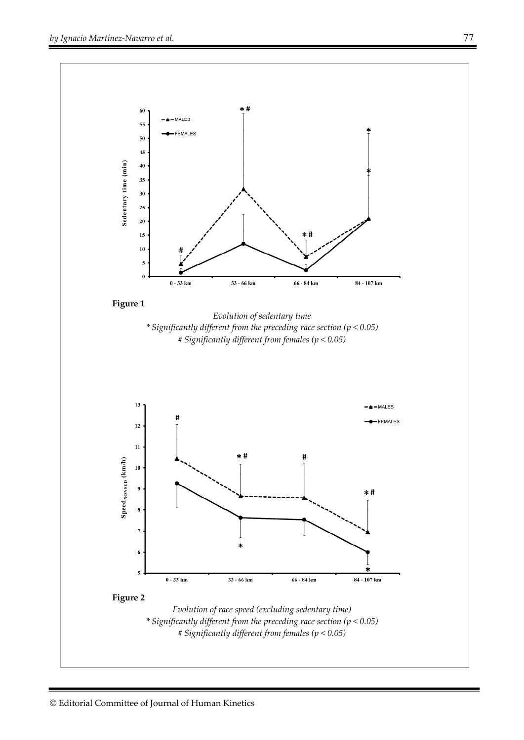

*# Significantly different from females (p < 0.05)*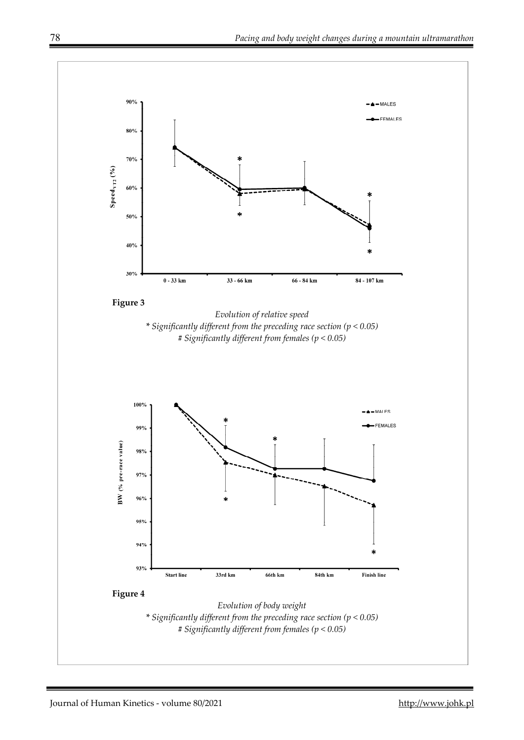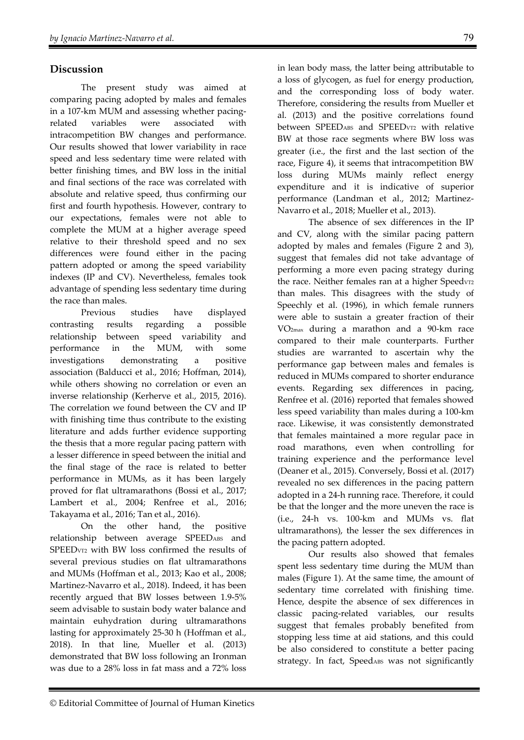# **Discussion**

The present study was aimed at comparing pacing adopted by males and females in a 107-km MUM and assessing whether pacingrelated variables were associated with intracompetition BW changes and performance. Our results showed that lower variability in race speed and less sedentary time were related with better finishing times, and BW loss in the initial and final sections of the race was correlated with absolute and relative speed, thus confirming our first and fourth hypothesis. However, contrary to our expectations, females were not able to complete the MUM at a higher average speed relative to their threshold speed and no sex differences were found either in the pacing pattern adopted or among the speed variability indexes (IP and CV). Nevertheless, females took advantage of spending less sedentary time during the race than males.

Previous studies have displayed contrasting results regarding a possible relationship between speed variability and performance in the MUM, with some investigations demonstrating a positive association (Balducci et al., 2016; Hoffman, 2014), while others showing no correlation or even an inverse relationship (Kerherve et al., 2015, 2016). The correlation we found between the CV and IP with finishing time thus contribute to the existing literature and adds further evidence supporting the thesis that a more regular pacing pattern with a lesser difference in speed between the initial and the final stage of the race is related to better performance in MUMs, as it has been largely proved for flat ultramarathons (Bossi et al., 2017; Lambert et al., 2004; Renfree et al., 2016; Takayama et al., 2016; Tan et al., 2016).

On the other hand, the positive relationship between average SPEEDABS and SPEEDVT2 with BW loss confirmed the results of several previous studies on flat ultramarathons and MUMs (Hoffman et al., 2013; Kao et al., 2008; Martinez-Navarro et al., 2018). Indeed, it has been recently argued that BW losses between 1.9-5% seem advisable to sustain body water balance and maintain euhydration during ultramarathons lasting for approximately 25-30 h (Hoffman et al., 2018). In that line, Mueller et al. (2013) demonstrated that BW loss following an Ironman was due to a 28% loss in fat mass and a 72% loss

in lean body mass, the latter being attributable to a loss of glycogen, as fuel for energy production, and the corresponding loss of body water. Therefore, considering the results from Mueller et al. (2013) and the positive correlations found between SPEEDABS and SPEED<sub>VT2</sub> with relative BW at those race segments where BW loss was greater (i.e., the first and the last section of the race, Figure 4), it seems that intracompetition BW loss during MUMs mainly reflect energy expenditure and it is indicative of superior performance (Landman et al., 2012; Martinez-Navarro et al., 2018; Mueller et al., 2013).

The absence of sex differences in the IP and CV, along with the similar pacing pattern adopted by males and females (Figure 2 and 3), suggest that females did not take advantage of performing a more even pacing strategy during the race. Neither females ran at a higher Speedvr2 than males. This disagrees with the study of Speechly et al. (1996), in which female runners were able to sustain a greater fraction of their VO2max during a marathon and a 90-km race compared to their male counterparts. Further studies are warranted to ascertain why the performance gap between males and females is reduced in MUMs compared to shorter endurance events. Regarding sex differences in pacing, Renfree et al. (2016) reported that females showed less speed variability than males during a 100-km race. Likewise, it was consistently demonstrated that females maintained a more regular pace in road marathons, even when controlling for training experience and the performance level (Deaner et al., 2015). Conversely, Bossi et al. (2017) revealed no sex differences in the pacing pattern adopted in a 24-h running race. Therefore, it could be that the longer and the more uneven the race is (i.e., 24-h vs. 100-km and MUMs vs. flat ultramarathons), the lesser the sex differences in the pacing pattern adopted.

Our results also showed that females spent less sedentary time during the MUM than males (Figure 1). At the same time, the amount of sedentary time correlated with finishing time. Hence, despite the absence of sex differences in classic pacing-related variables, our results suggest that females probably benefited from stopping less time at aid stations, and this could be also considered to constitute a better pacing strategy. In fact, SpeedABS was not significantly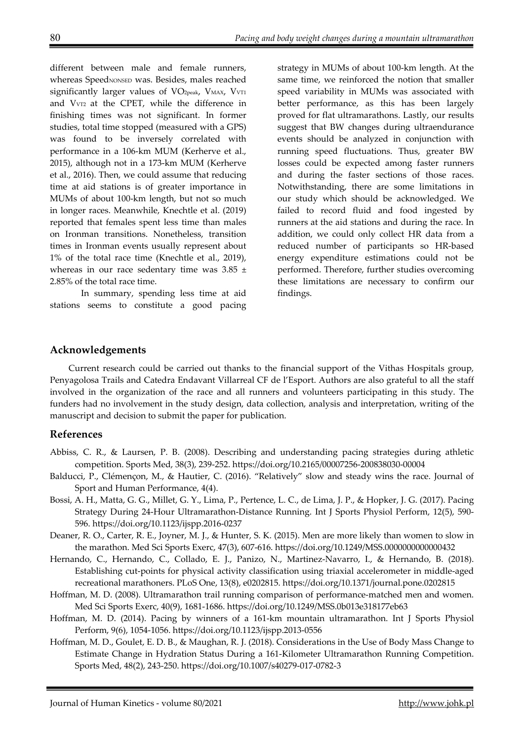different between male and female runners, whereas SpeedNONSED was. Besides, males reached significantly larger values of  $VO<sub>2peak</sub>, V<sub>MAX</sub>, V<sub>VTI</sub>$ and V<sub>VT2</sub> at the CPET, while the difference in finishing times was not significant. In former studies, total time stopped (measured with a GPS) was found to be inversely correlated with performance in a 106-km MUM (Kerherve et al., 2015), although not in a 173-km MUM (Kerherve et al., 2016). Then, we could assume that reducing time at aid stations is of greater importance in MUMs of about 100-km length, but not so much in longer races. Meanwhile, Knechtle et al. (2019) reported that females spent less time than males on Ironman transitions. Nonetheless, transition times in Ironman events usually represent about 1% of the total race time (Knechtle et al., 2019), whereas in our race sedentary time was  $3.85 \pm$ 2.85% of the total race time.

In summary, spending less time at aid stations seems to constitute a good pacing strategy in MUMs of about 100-km length. At the same time, we reinforced the notion that smaller speed variability in MUMs was associated with better performance, as this has been largely proved for flat ultramarathons. Lastly, our results suggest that BW changes during ultraendurance events should be analyzed in conjunction with running speed fluctuations. Thus, greater BW losses could be expected among faster runners and during the faster sections of those races. Notwithstanding, there are some limitations in our study which should be acknowledged. We failed to record fluid and food ingested by runners at the aid stations and during the race. In addition, we could only collect HR data from a reduced number of participants so HR-based energy expenditure estimations could not be performed. Therefore, further studies overcoming these limitations are necessary to confirm our findings.

## **Acknowledgements**

Current research could be carried out thanks to the financial support of the Vithas Hospitals group, Penyagolosa Trails and Catedra Endavant Villarreal CF de l'Esport. Authors are also grateful to all the staff involved in the organization of the race and all runners and volunteers participating in this study. The funders had no involvement in the study design, data collection, analysis and interpretation, writing of the manuscript and decision to submit the paper for publication.

### **References**

- Abbiss, C. R., & Laursen, P. B. (2008). Describing and understanding pacing strategies during athletic competition. Sports Med, 38(3), 239-252. https://doi.org/10.2165/00007256-200838030-00004
- Balducci, P., Clémençon, M., & Hautier, C. (2016). "Relatively" slow and steady wins the race. Journal of Sport and Human Performance, 4(4).
- Bossi, A. H., Matta, G. G., Millet, G. Y., Lima, P., Pertence, L. C., de Lima, J. P., & Hopker, J. G. (2017). Pacing Strategy During 24-Hour Ultramarathon-Distance Running. Int J Sports Physiol Perform, 12(5), 590- 596. https://doi.org/10.1123/ijspp.2016-0237
- Deaner, R. O., Carter, R. E., Joyner, M. J., & Hunter, S. K. (2015). Men are more likely than women to slow in the marathon. Med Sci Sports Exerc, 47(3), 607-616. https://doi.org/10.1249/MSS.0000000000000432
- Hernando, C., Hernando, C., Collado, E. J., Panizo, N., Martinez-Navarro, I., & Hernando, B. (2018). Establishing cut-points for physical activity classification using triaxial accelerometer in middle-aged recreational marathoners. PLoS One, 13(8), e0202815. https://doi.org/10.1371/journal.pone.0202815
- Hoffman, M. D. (2008). Ultramarathon trail running comparison of performance-matched men and women. Med Sci Sports Exerc, 40(9), 1681-1686. https://doi.org/10.1249/MSS.0b013e318177eb63
- Hoffman, M. D. (2014). Pacing by winners of a 161-km mountain ultramarathon. Int J Sports Physiol Perform, 9(6), 1054-1056. https://doi.org/10.1123/ijspp.2013-0556
- Hoffman, M. D., Goulet, E. D. B., & Maughan, R. J. (2018). Considerations in the Use of Body Mass Change to Estimate Change in Hydration Status During a 161-Kilometer Ultramarathon Running Competition. Sports Med, 48(2), 243-250. https://doi.org/10.1007/s40279-017-0782-3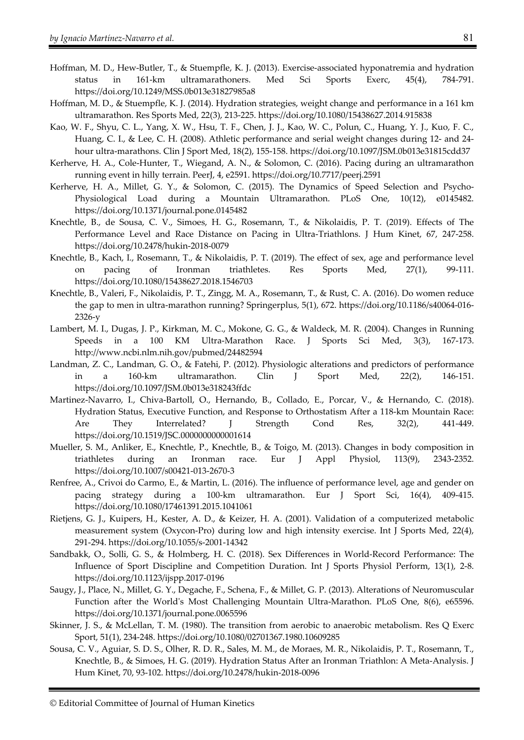- Hoffman, M. D., Hew-Butler, T., & Stuempfle, K. J. (2013). Exercise-associated hyponatremia and hydration status in 161-km ultramarathoners. Med Sci Sports Exerc, 45(4), 784-791. https://doi.org/10.1249/MSS.0b013e31827985a8
- Hoffman, M. D., & Stuempfle, K. J. (2014). Hydration strategies, weight change and performance in a 161 km ultramarathon. Res Sports Med, 22(3), 213-225. https://doi.org/10.1080/15438627.2014.915838
- Kao, W. F., Shyu, C. L., Yang, X. W., Hsu, T. F., Chen, J. J., Kao, W. C., Polun, C., Huang, Y. J., Kuo, F. C., Huang, C. I., & Lee, C. H. (2008). Athletic performance and serial weight changes during 12- and 24 hour ultra-marathons. Clin J Sport Med, 18(2), 155-158. https://doi.org/10.1097/JSM.0b013e31815cdd37
- Kerherve, H. A., Cole-Hunter, T., Wiegand, A. N., & Solomon, C. (2016). Pacing during an ultramarathon running event in hilly terrain. PeerJ, 4, e2591. https://doi.org/10.7717/peerj.2591
- Kerherve, H. A., Millet, G. Y., & Solomon, C. (2015). The Dynamics of Speed Selection and Psycho-Physiological Load during a Mountain Ultramarathon. PLoS One, 10(12), e0145482. https://doi.org/10.1371/journal.pone.0145482
- Knechtle, B., de Sousa, C. V., Simoes, H. G., Rosemann, T., & Nikolaidis, P. T. (2019). Effects of The Performance Level and Race Distance on Pacing in Ultra-Triathlons. J Hum Kinet, 67, 247-258. https://doi.org/10.2478/hukin-2018-0079
- Knechtle, B., Kach, I., Rosemann, T., & Nikolaidis, P. T. (2019). The effect of sex, age and performance level on pacing of Ironman triathletes. Res Sports Med, 27(1), 99-111. https://doi.org/10.1080/15438627.2018.1546703
- Knechtle, B., Valeri, F., Nikolaidis, P. T., Zingg, M. A., Rosemann, T., & Rust, C. A. (2016). Do women reduce the gap to men in ultra-marathon running? Springerplus, 5(1), 672. https://doi.org/10.1186/s40064-016- 2326-y
- Lambert, M. I., Dugas, J. P., Kirkman, M. C., Mokone, G. G., & Waldeck, M. R. (2004). Changes in Running Speeds in a 100 KM Ultra-Marathon Race. J Sports Sci Med, 3(3), 167-173. http://www.ncbi.nlm.nih.gov/pubmed/24482594
- Landman, Z. C., Landman, G. O., & Fatehi, P. (2012). Physiologic alterations and predictors of performance in a 160-km ultramarathon. Clin J Sport Med, 22(2), 146-151. https://doi.org/10.1097/JSM.0b013e318243ffdc
- Martinez-Navarro, I., Chiva-Bartoll, O., Hernando, B., Collado, E., Porcar, V., & Hernando, C. (2018). Hydration Status, Executive Function, and Response to Orthostatism After a 118-km Mountain Race: Are They Interrelated? J Strength Cond Res, 32(2), 441-449. https://doi.org/10.1519/JSC.0000000000001614
- Mueller, S. M., Anliker, E., Knechtle, P., Knechtle, B., & Toigo, M. (2013). Changes in body composition in triathletes during an Ironman race. Eur J Appl Physiol, 113(9), 2343-2352. https://doi.org/10.1007/s00421-013-2670-3
- Renfree, A., Crivoi do Carmo, E., & Martin, L. (2016). The influence of performance level, age and gender on pacing strategy during a 100-km ultramarathon. Eur J Sport Sci, 16(4), 409-415. https://doi.org/10.1080/17461391.2015.1041061
- Rietjens, G. J., Kuipers, H., Kester, A. D., & Keizer, H. A. (2001). Validation of a computerized metabolic measurement system (Oxycon-Pro) during low and high intensity exercise. Int J Sports Med, 22(4), 291-294. https://doi.org/10.1055/s-2001-14342
- Sandbakk, O., Solli, G. S., & Holmberg, H. C. (2018). Sex Differences in World-Record Performance: The Influence of Sport Discipline and Competition Duration. Int J Sports Physiol Perform, 13(1), 2-8. https://doi.org/10.1123/ijspp.2017-0196
- Saugy, J., Place, N., Millet, G. Y., Degache, F., Schena, F., & Millet, G. P. (2013). Alterations of Neuromuscular Function after the World's Most Challenging Mountain Ultra-Marathon. PLoS One, 8(6), e65596. https://doi.org/10.1371/journal.pone.0065596
- Skinner, J. S., & McLellan, T. M. (1980). The transition from aerobic to anaerobic metabolism. Res Q Exerc Sport, 51(1), 234-248. https://doi.org/10.1080/02701367.1980.10609285
- Sousa, C. V., Aguiar, S. D. S., Olher, R. D. R., Sales, M. M., de Moraes, M. R., Nikolaidis, P. T., Rosemann, T., Knechtle, B., & Simoes, H. G. (2019). Hydration Status After an Ironman Triathlon: A Meta-Analysis. J Hum Kinet, 70, 93-102. https://doi.org/10.2478/hukin-2018-0096

<sup>©</sup> Editorial Committee of Journal of Human Kinetics